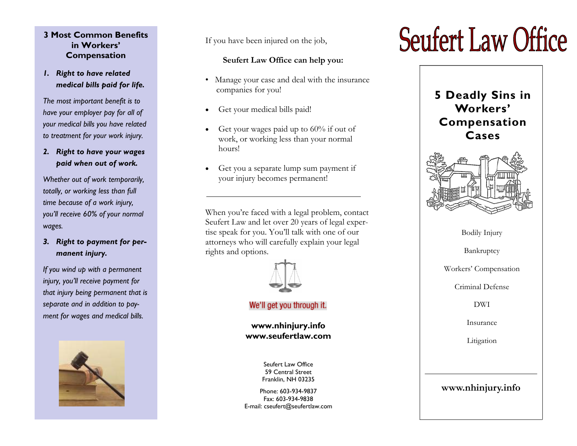#### **3 Most Common Benefits in Workers' Compensation**

## *1. Right to have related medical bills paid for life.*

*The most important benefit is to have your employer pay for all of your medical bills you have related to treatment for your work injury.* 

#### *2. Right to have your wages paid when out of work.*

*Whether out of work temporarily, totally, or working less than full time because of a work injury, you'll receive 60% of your normal wages.* 

# *3. Right to payment for permanent injury.*

*If you wind up with a permanent injury, you'll receive payment for that injury being permanent that is separate and in addition to payment for wages and medical bills.* 



If you have been injured on the job,

## **Seufert Law Office can help you:**

- Manage your case and deal with the insurance companies for you!
- Get your medical bills paid!
- Get your wages paid up to  $60\%$  if out of work, or working less than your normal hours!
- Get you a separate lump sum payment if your injury becomes permanent!

When you're faced with a legal problem, contact Seufert Law and let over 20 years of legal expertise speak for you. You'll talk with one of our attorneys who will carefully explain your legal rights and options.



## We'll get you through it.

## **www.nhinjury.info www.seufertlaw.com**

Seufert Law Office 59 Central Street Franklin, NH 03235

Phone: 603-934-9837 Fax: 603-934-9838 E-mail: cseufert@seufertlaw.com

# **Seufert Law Office**